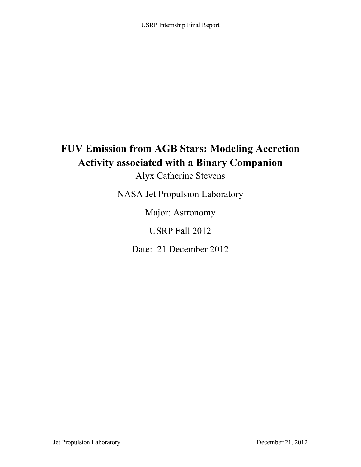# **FUV Emission from AGB Stars: Modeling Accretion Activity associated with a Binary Companion**

Alyx Catherine Stevens

NASA Jet Propulsion Laboratory

Major: Astronomy

USRP Fall 2012

Date: 21 December 2012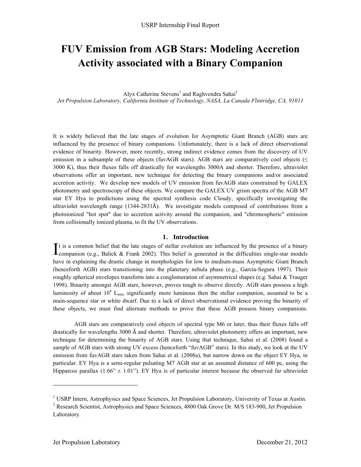# **FUV Emission from AGB Stars: Modeling Accretion Activity associated with a Binary Companion**

Alyx Catherine Stevens<sup>1</sup> and Raghvendra Sahai<sup>2</sup> *Jet Propulsion Laboratory, California Institute of Technology, NASA, La Canada Flintridge, CA, 91011*

It is widely believed that the late stages of evolution for Asymptotic Giant Branch (AGB) stars are influenced by the presence of binary companions. Unfortunately, there is a lack of direct observational evidence of binarity. However, more recently, strong indirect evidence comes from the discovery of UV emission in a subsample of these objects (fuvAGB stars). AGB stars are comparatively cool objects ( $\leq$ 3000 K), thus their fluxes falls off drastically for wavelengths 3000A and shorter. Therefore, ultraviolet observations offer an important, new technique for detecting the binary companions and/or associated accretion activity. We develop new models of UV emission from fuvAGB stars constrained by GALEX photometry and spectroscopy of these objects. We compare the GALEX UV grism spectra of the AGB M7 star EY Hya to predictions using the spectral synthesis code Cloudy, specifically investigating the ultraviolet wavelength range  $(1344-2831\text{Å})$ . We investigate models composed of contributions from a photoionized "hot spot" due to accretion activity around the companion, and "chromospheric" emission from collisionally ionized plasma, to fit the UV observations.

## **1. Introduction**

t is a common belief that the late stages of stellar evolution are influenced by the presence of a binary It is a common belief that the late stages of stellar evolution are influenced by the presence of a binary companion (e.g., Balick & Frank 2002). This belief is generated in the difficulties single-star models have in explaining the drastic change in morphologies for low to medium-mass Asymptotic Giant Branch (henceforth AGB) stars transitioning into the planetary nebula phase (e.g., Garcia-Segura 1997). Their roughly spherical envelopes transform into a conglomeration of asymmetrical shapes (e.g. Sahai & Trauger 1998). Binarity amongst AGB stars, however, proves tough to observe directly. AGB stars possess a high luminosity of about  $10^4$  L<sub>sun</sub>, significantly more luminous then the stellar companion, assumed to be a main-sequence star or white dwarf. Due to a lack of direct observational evidence proving the binarity of these objects, we must find alternate methods to prove that these AGB possess binary companions.

AGB stars are comparatively cool objects of spectral type M6 or later, thus their fluxes falls off drastically for wavelengths 3000 Å and shorter. Therefore, ultraviolet photometry offers an important, new technique for determining the binarity of AGB stars. Using that technique, Sahai et al. (2008) found a sample of AGB stars with strong UV excess (henceforth "fuvAGB" stars). In this study, we look at the UV emission from fuvAGB stars taken from Sahai et al. (2008a), but narrow down on the object EY Hya, in particular. EY Hya is a semi-regular pulsating M7 AGB star at an assumed distance of 600 pc, using the Hipparcos parallax  $(1.66^{\circ} \pm 1.01^{\circ})$ . EY Hya is of particular interest because the observed far ultraviolet

!!!!!!!!!!!!!!!!!!!!!!!!!!!!!!!!!!!!!!!!!!!!!!!!!!!!!!!!!!!!

<sup>&</sup>lt;sup>1</sup> USRP Intern, Astrophysics and Space Sciences, Jet Propulsion Laboratory, University of Texas at Austin.

<sup>&</sup>lt;sup>2</sup> Research Scientist, Astrophysics and Space Sciences, 4800 Oak Grove Dr. M/S 183-900, Jet Propulsion Laboratory.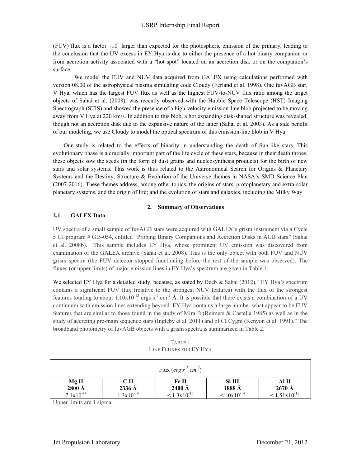(FUV) flux is a factor  $\sim 10^6$  larger than expected for the photospheric emission of the primary, leading to the conclusion that the UV excess in EY Hya is due to either the presence of a hot binary companion or from accretion activity associated with a "hot spot" located on an accretion disk or on the companion's surface.

We model the FUV and NUV data acquired from GALEX using calculations performed with version 08.00 of the astrophysical plasma simulating code Cloudy (Ferland et al. 1998). One fuvAGB star, V Hya, which has the largest FUV flux as well as the highest FUV-to-NUV flux ratio among the target objects of Sahai et al. (2008), was recently observed with the Hubble Space Telescope (HST) Imaging Spectrograph (STIS) and showed the presence of a high-velocity emission-line blob projected to be moving away from V Hya at 220 km/s. In addition to this blob, a hot expanding disk-shaped structure was revealed, though not an accretion disk due to the expansive nature of the latter (Sahai et al. 2003). As a side benefit of our modeling, we use Cloudy to model the optical spectrum of this emission-line blob in V Hya.

Our study is related to the effects of binarity in understanding the death of Sun-like stars. This evolutionary phase is a crucially important part of the life cycle of these stars, because in their death throes, these objects sow the seeds (in the form of dust grains and nucleosynthesis products) for the birth of new stars and solar systems. This work is thus related to the Astronomical Search for Origins & Planetary Systems and the Destiny, Structure & Evolution of the Universe themes in NASA's SMD Science Plan (2007-2016). These themes address, among other topics, the origins of stars, protoplanetary and extra-solar planetary systems, and the origin of life; and the evolution of stars and galaxies, including the Milky Way.

## **2. Summary of Observations**

# **2.1 GALEX Data**

UV spectra of a small sample of fuvAGB stars were acquired with GALEX's grism instrument via a Cycle 5 GI program # GI5-054, entitled "Probing Binary Companions and Accretion Disks in AGB stars" (Sahai et al. 2008b). This sample includes EY Hya, whose prominent UV emission was discovered from examination of the GALEX archive (Sahai et al. 2008). This is the only object with both FUV and NUV grism spectra (the FUV detector stopped functioning before the rest of the sample was observed). The fluxes (or upper limits) of major emission lines in EY Hya's spectrum are given in Table 1.

We selected EY Hya for a detailed study, because, as stated by Deeb & Sahai (2012), "EY Hya's spectrum contains a significant FUV flux (relative to the strongest NUV features) with the flux of the strongest features totaling to about  $1.10 \times 10^{-13}$  ergs s<sup>-1</sup> cm<sup>-2</sup> Å. It is possible that there exists a combination of a UV continuum with emission lines extending beyond. EY Hya contains a large number what appear to be FUV features that are similar to those found in the study of Mira B (Reimers & Castella 1985) as well as in the study of accreting pre-main sequence stars (Ingleby et al. 2011) and of CI Cygni (Kenyon et al. 1991)." The broadband photometry of fuvAGB objects with a grism spectra is summarized in Table 2.

TABLE 1 LINE FLUXES FOR EY HYA

|                       |                       | Flux (erg s <sup>-1</sup> cm <sup>-2</sup> ) |                |                             |
|-----------------------|-----------------------|----------------------------------------------|----------------|-----------------------------|
| Mg II                 | CП                    | Fe II                                        | Si III         | Al II                       |
| 2800Å                 | $2336 \,\mathrm{\AA}$ | $2400 \text{ Å}$                             | 1888 Å         | $2670 \text{ Å}$            |
| $7.1 \times 10^{-14}$ | $1.3x10^{-14}$        | $\leq 1.3 \times 10^{-15}$                   | $1.0x10^{-14}$ | $\leq 1.51 \times 10^{-15}$ |

Upper limits are 1 sigma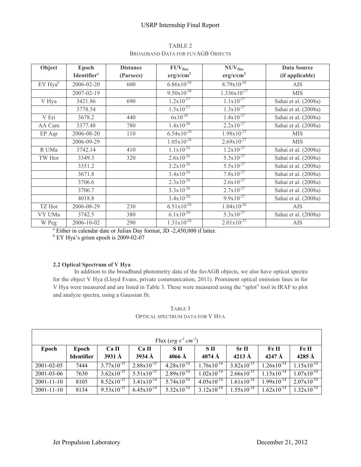# USRP Internship Final Report

| Object              | Epoch                          | <b>Distance</b> | $FUV_{flux}$              | $NUV_{flux}$              | <b>Data Source</b>   |
|---------------------|--------------------------------|-----------------|---------------------------|---------------------------|----------------------|
|                     | <b>Identifier</b> <sup>a</sup> | (Parsecs)       | erg/s/cm <sup>2</sup>     | erg/s/cm <sup>2</sup>     | (if applicable)      |
| EY Hya <sup>b</sup> | 2006-02-20                     | 600             | $6.86 \times 10^{-28}$    | $8.79x10^{-28}$           | <b>AIS</b>           |
|                     | 2007-02-19                     |                 | $9.50 \times 10^{-28}$    | $1.336x10^{-27}$          | <b>MIS</b>           |
| V Hya               | 3421.86                        | 690             | $1.2x10^{-27}$            | $1.1x10^{-27}$            | Sahai et al. (2008a) |
|                     | 3778.54                        |                 | $1.5x10^{-27}$            | $1.3 \times 10^{-27}$     | Sahai et al. (2008a) |
| V Eri               | 3678.2                         | 440             | $6x10^{-28}$              | $1.4x10^{-27}$            | Sahai et al. (2008a) |
| AA Cam              | 3377.48                        | 780             | $1.4x10^{-28}$            | $2.2x10^{-27}$            | Sahai et al. (2008a) |
| EP Aqr              | 2006-08-20                     | 110             | $6.54 \times 10^{-29}$    | $1.98 \times 10^{-27}$    | <b>MIS</b>           |
|                     | 2006-09-29                     |                 | $1.05x10^{-28}$           | $2.69x10^{-27}$           | <b>MIS</b>           |
| R UMa               | 3742.14                        | 410             | $1.1x10^{-28}$            | $1.2x10^{-27}$            | Sahai et al. (2008a) |
| TW Hor              | 3349.3                         | 320             | $2.6x10^{-28}$            | $5.3 \times 10^{-27}$     | Sahai et al. (2008a) |
|                     | 3351.2                         |                 | $3.2x10^{-28}$            | $5.5x10^{-27}$            | Sahai et al. (2008a) |
|                     | 3671.8                         |                 | $3.4x10^{-28}$            | $7.8 \times 10^{-27}$     | Sahai et al. (2008a) |
|                     | 3706.6                         |                 | $2.3 \times 10^{-28}$     | $2.6x10^{-27}$            | Sahai et al. (2008a) |
|                     | 3706.7                         |                 | $3.3 \times 10^{-28}$     | $2.7x\overline{10^{-27}}$ | Sahai et al. (2008a) |
|                     | 4018.8                         |                 | $3.4x10^{-28}$            | $9.9x10^{-27}$            | Sahai et al. (2008a) |
| TZ Hor              | 2006-08-29                     | 230             | $6.51x10^{-28}$           | $1.04x10^{-26}$           | <b>AIS</b>           |
| VY UMa              | 3742.5                         | 380             | $6.\overline{1x10^{-29}}$ | $5.3 \times 10^{-27}$     | Sahai et al. (2008a) |
| W Peg               | 2006-10-02                     | 290             | $1.31 \times 10^{-28}$    | $2.01 \times 10^{-27}$    | AIS                  |

TABLE 2 BROADBAND DATA FOR FUVAGB OBJECTS

 $a$  Either in calendar date or Julian Day format, JD -2,450,000 if latter.

 $EY$  Hya's grism epoch is 2009-02-07

# **2.2 Optical Spectrum of V Hya**

In addition to the broadband photometry data of the fuvAGB objects, we also have optical spectra for the object V Hya (Lloyd Evans, private communication, 2011). Prominent optical emission lines in for V Hya were measured and are listed in Table 3. These were measured using the "splot" tool in IRAF to plot and analyze spectra, using a Gaussian fit.

TABLE 3 OPTICAL SPECTRUM DATA FOR V HYA

| Flux (erg s <sup>-1</sup> cm <sup>-2</sup> ) |                            |                                |                        |                        |                          |                                     |                        |                                   |  |
|----------------------------------------------|----------------------------|--------------------------------|------------------------|------------------------|--------------------------|-------------------------------------|------------------------|-----------------------------------|--|
| Epoch                                        | Epoch<br><b>Identifier</b> | Ca II<br>$3931 \,\mathrm{\AA}$ | Ca II<br>$3934 \AA$    | S II<br>$4066$ Å       | S II<br>$4074 \text{ Å}$ | Sr <sub>H</sub><br>$4213 \text{ Å}$ | Fe II<br>4247 $\AA$    | Fe II<br>$4285 \,\mathrm{\AA}$    |  |
| 2001-02-05                                   | 7444                       | $3.77 \times 10^{-15}$         | $2.88 \times 10^{-15}$ | $4.28 \times 10^{-14}$ | $1.76x10^{-14}$          | $3.82 \times 10^{-15}$              | $1.26 \times 10^{-14}$ | $1.15 \times 10^{-14}$            |  |
| 2001-03-06                                   | 7630                       | $3.62 \times 10^{-15}$         | $5.51 \times 10^{-15}$ | $2.89 \times 10^{-14}$ | $1.02 \times 10^{-14}$   | $2.66 \times 10^{-15}$              | $1.15 \times 10^{-14}$ | $1.07 \times 10^{-14}$            |  |
| $2001 - 11 - 10$                             | 8105                       | $8.52 \times 10^{-15}$         | $3.41 \times 10^{-14}$ | $5.74 \times 10^{-14}$ | $4.05 \times 10^{-14}$   | $1.61 \times 10^{-14}$              | $1.99x10^{-14}$        | $2.07 \times 10^{-\overline{14}}$ |  |
| $2001 - 11 - 10$                             | 8134                       | $9.53 \times 10^{-15}$         | $6.45 \times 10^{-14}$ | $5.32 \times 10^{-14}$ | $3.12 \times 10^{-14}$   | $1.55 \times 10^{-14}$              | $1.62 \times 10^{-14}$ | $1.32 \times 10^{-14}$            |  |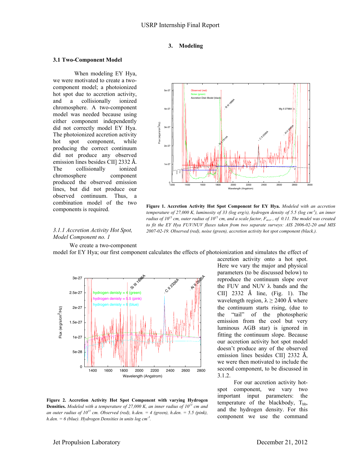## **3. Modeling**

#### **3.1 Two-Component Model**

When modeling EY Hya, we were motivated to create a twocomponent model; a photoionized hot spot due to accretion activity, and a collisionally ionized chromosphere. A two-component model was needed because using either component independently did not correctly model EY Hya. The photoionized accretion activity hot spot component, while producing the correct continuum did not produce any observed emission lines besides CII] 2332 Å. The collisionally ionized chromosphere component produced the observed emission lines, but did not produce our observed continuum. Thus, a combination model of the two components is required.



**Figure 1. Accretion Activity Hot Spot Component for EY Hya.** *Modeled with an accretion temperature of 27,000 K, luminosity of 33 (log erg/s), hydrogen density of 5.5 (log cm-3 ), an inner radius of 10<sup>13</sup> cm, outer radius of 10<sup>15</sup> cm, and a scale factor,*  $F_{accr}$ *, of 0.11. The model was created to fit the EY Hya FUV/NUV fluxes taken from two separate surveys: AIS 2006-02-20 and MIS 2007-02-19. Observed (red), noise (green), accretion activity hot spot component (black.).*

#### *3.1.1 Accretion Activity Hot Spot, Model Component no. 1*

We create a two-component

model for EY Hya; our first component calculates the effects of photoionization and simulates the effect of



**Figure 2. Accretion Activity Hot Spot Component with varying Hydrogen Densities.** *Modeled with a temperature of 27,000 K, an inner radius of 1013 cm and*  an outer radius of  $10^{15}$  cm. Observed (red), h.den. = 4 (green), h.den. = 5.5 (pink), *h.den. = 6 (blue). Hydrogen Densities in units log cm-3 .*

accretion activity onto a hot spot. Here we vary the major and physical parameters (to be discussed below) to reproduce the continuum slope over the FUV and NUV  $\lambda$  bands and the CII] 2332 Å line, (Fig. 1). The wavelength region,  $\lambda \ge 2400$  Å where the continuum starts rising, (due to the "tail" of the photospheric emission from the cool but very luminous AGB star) is ignored in fitting the continuum slope. Because our accretion activity hot spot model doesn't produce any of the observed emission lines besides CII] 2332 Å, we were then motivated to include the second component, to be discussed in 3.1.2.

For our accretion activity hotspot component, we vary two important input parameters: the temperature of the blackbody,  $T_{bb}$ , and the hydrogen density. For this component we use the command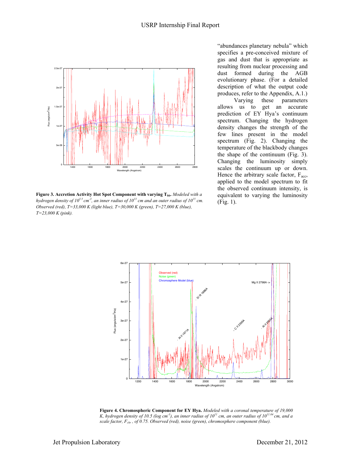

Figure 3. Accretion Activity Hot Spot Component with varying T<sub>bb</sub>. Modeled with a hydrogen density of 10<sup>5.5</sup> cm<sup>-3</sup>, an inner radius of 10<sup>13</sup> cm and an outer radius of 10<sup>15</sup> cm. *Observed (red), T=33,000 K (light blue), T=30,000 K (green), T=27,000 K (blue), T=23,000 K (pink).*

"abundances planetary nebula" which specifies a pre-conceived mixture of gas and dust that is appropriate as resulting from nuclear processing and dust formed during the AGB evolutionary phase. (For a detailed description of what the output code produces, refer to the Appendix, A.1.)

Varying these parameters allows us to get an accurate prediction of EY Hya's continuum spectrum. Changing the hydrogen density changes the strength of the few lines present in the model spectrum (Fig. 2). Changing the temperature of the blackbody changes the shape of the continuum (Fig. 3). Changing the luminosity simply scales the continuum up or down. Hence the arbitrary scale factor, F<sub>acc</sub>, applied to the model spectrum to fit the observed continuum intensity, is equivalent to varying the luminosity (Fig. 1).



**Figure 4. Chromospheric Component for EY Hya.** *Modeled with a coronal temperature of 19,000 K, hydrogen density of 10.5 (log cm<sup>-3</sup>), an inner radius of*  $10^{11}$  *cm, an outer radius of*  $10^{11.04}$  *cm, and a scale factor, Fchr , of 0.75. Observed (red), noise (green), chromosphere component (blue).*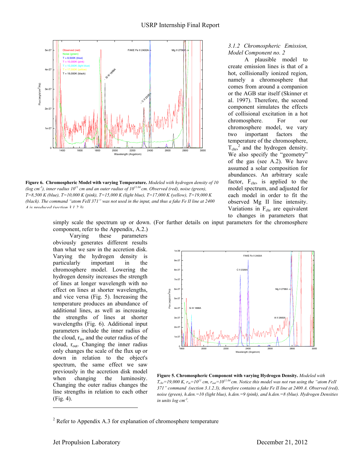

**Figure 6. Chromospheric Model with varying Temperature.** *Modeled with hydrogen density of 10* (log cm<sup>-3</sup>), inner radius  $10^{11}$  cm and an outer radius of  $10^{11.04}$  cm. Observed (red), noise (green), *T=8,500 K (blue), T=10,000 K (pink), T=15,000 K (light blue), T=17,000 K (yellow), T=19,000 K (black). The command "atom FeII 371" was not used in the input, and thus a fake Fe II line at 2400 A is produced (section 3.1.2.3).*

## *3.1.2 Chromospheric Emission, Model Component no. 2*

A plausible model to create emission lines is that of a hot, collisionally ionized region, namely a chromosphere that comes from around a companion or the AGB star itself (Skinner et al. 1997). Therefore, the second component simulates the effects of collisional excitation in a hot chromosphere. For our chromosphere model, we vary two important factors the temperature of the chromosphere,  $T_{\text{chr}}^2$  and the hydrogen density. We also specify the "geometry" of the gas (see A.2). We have assumed a solar composition for abundances. An arbitrary scale factor,  $F_{chr}$ , is applied to the model spectrum, and adjusted for each model in order to fit the observed Mg II line intensity. Variations in  $F_{chr}$  are equivalent to changes in parameters that

simply scale the spectrum up or down. (For further details on input parameters for the chromosphere component, refer to the Appendix, A.2.)

Varying these parameters obviously generates different results than what we saw in the accretion disk. Varying the hydrogen density is particularly important in the chromosphere model. Lowering the hydrogen density increases the strength of lines at longer wavelength with no effect on lines at shorter wavelengths, and vice versa (Fig. 5). Increasing the temperature produces an abundance of additional lines, as well as increasing the strengths of lines at shorter wavelengths (Fig. 6). Additional input parameters include the inner radius of the cloud, rin, and the outer radius of the cloud,  $r_{\text{out}}$ . Changing the inner radius only changes the scale of the flux up or down in relation to the object's spectrum, the same effect we saw previously in the accretion disk model when changing the luminosity. Changing the outer radius changes the line strengths in relation to each other (Fig. 4).



**Figure 5. Chromospheric Component with varying Hydrogen Density.** *Modeled with*   $T_{chr}$ =19,000 K,  $r_{in}$ =10<sup>11</sup> cm,  $r_{out}$ =10<sup>11.04</sup> cm. Notice this model was not run using the "atom FeII *371" command (section 3.1.2.3), therefore contains a fake Fe II line at 2400 A. Observed (red), noise (green), h.den.=10 (light blue), h.den.=9 (pink), and h.den.=8 (blue). Hydrogen Densities in units log cm-3 .*

 $2^2$  Refer to Appendix A.3 for explanation of chromosphere temperature

!!!!!!!!!!!!!!!!!!!!!!!!!!!!!!!!!!!!!!!!!!!!!!!!!!!!!!!!!!!!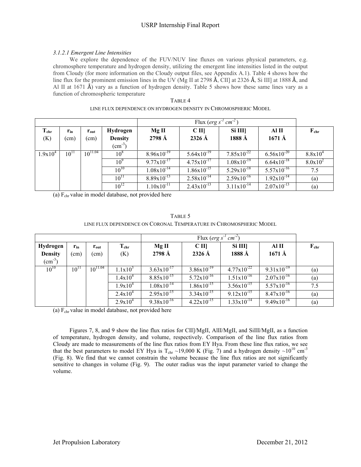# USRP Internship Final Report

## *3.1.2.1 Emergent Line Intensities*

We explore the dependence of the FUV/NUV line fluxes on various physical parameters, e.g. chromosphere temperature and hydrogen density, utilizing the emergent line intensities listed in the output from Cloudy (for more information on the Cloudy output files, see Appendix A.1). Table 4 shows how the line flux for the prominent emission lines in the UV (Mg II at 2798  $\AA$ , CII] at 2326  $\AA$ , Si III] at 1888  $\AA$ , and Al II at 1671  $\hat{A}$ ) vary as a function of hydrogen density. Table 5 shows how these same lines vary as a function of chromospheric temperature

| TABLE 4                                                         |  |
|-----------------------------------------------------------------|--|
| LINE FLUX DEPENDENCE ON HYDROGEN DENSITY IN CHROMOSPHERIC MODEL |  |

|                         |                  |                       |                                                  |                                   | Flux (erg $s^{-1}$ cm <sup>-2</sup> )    |                                   |                           |              |  |  |
|-------------------------|------------------|-----------------------|--------------------------------------------------|-----------------------------------|------------------------------------------|-----------------------------------|---------------------------|--------------|--|--|
| $T_{\text{chr}}$<br>(K) | $r_{in}$<br>(cm) | $r_{\rm out}$<br>(cm) | Hydrogen<br><b>Density</b><br>$\text{cm}^{-3}$ ) | MgII<br>$2798 \text{ Å}$          | C <sub>II</sub><br>$2326 \,\mathrm{\AA}$ | Si III<br>1888 Å                  | Al II<br>$1671 \text{ Å}$ | $F_{chr}$    |  |  |
| $1.9x10^4$              | $10^{11}$        | $10^{11.04}$          | 10 <sup>8</sup>                                  | $8.96x10^{-19}$                   | $5.64 \times 10^{-19}$                   | $7.85 \times 10^{-22}$            | $6.56 \times 10^{-20}$    | $8.8x10^{4}$ |  |  |
|                         |                  |                       | 10 <sup>9</sup>                                  | $9.77 \times 10^{-17}$            | $4.75 \times 10^{-17}$                   | $1.08 \times 10^{-19}$            | $6.64 \times 10^{-18}$    | $8.0x10^2$   |  |  |
|                         |                  |                       | $10^{10}$                                        | $1.08 \times 10^{-\overline{14}}$ | $1.86 \times 10^{-15}$                   | $5.29 \times 10^{-\overline{18}}$ | $5.57 \times 10^{-16}$    | 7.5          |  |  |
|                         |                  |                       | $10^{11}$                                        | $8.89 \times 10^{-13}$            | $2.58 \times 10^{-14}$                   | $2.59x10^{-16}$                   | $1.92 \times 10^{-14}$    | (a)          |  |  |
|                         |                  |                       | $10^{12}$                                        | $1.10 \times 10^{-11}$            | $2.43 \times 10^{-13}$                   | $3.11x10^{-\overline{14}}$        | $2.07x10^{-13}$           | (a)          |  |  |

(a)  $F_{\text{chr}}$  value in model database, not provided here

| TABLE 5                                                            |
|--------------------------------------------------------------------|
| LINE FLUX DEPENDENCE ON CORONAL TEMPERATURE IN CHROMOSPHERIC MODEL |

| Hydrogen           | $r_{in}$  | $r_{\rm out}$ | $\rm T_{chr}$ | Mg II                  | C <sub>II</sub>        | Si III                 | Al II                  | $F_{chr}$ |
|--------------------|-----------|---------------|---------------|------------------------|------------------------|------------------------|------------------------|-----------|
| <b>Density</b>     | (cm)      | (cm)          | (K)           | $2798 \text{ Å}$       | $2326 \text{ Å}$       | 1888 Å                 | $1671 \text{ Å}$       |           |
| $\text{(cm}^{-3})$ |           |               |               |                        |                        |                        |                        |           |
| $10^{10}$          | $10^{11}$ | $10^{11.04}$  | $1.1x10^3$    | $3.63 \times 10^{-17}$ | $3.86x10^{-19}$        | $4.77 \times 10^{-22}$ | $9.31x10^{-19}$        | (a)       |
|                    |           |               | $1.4x10^4$    | $8.85 \times 10^{-15}$ | $5.72 \times 10^{-16}$ | $1.51 \times 10^{-16}$ | $2.07 \times 10^{-16}$ | (a)       |
|                    |           |               | $1.9x10^4$    | $1.08 \times 10^{-14}$ | $1.86 \times 10^{-15}$ | $3.56 \times 10^{-15}$ | $5.57 \times 10^{-16}$ | 7.5       |
|                    |           |               | $2.4x10^4$    | $2.95x10^{-15}$        | $3.34 \times 10^{-15}$ | $9.12 \times 10^{-15}$ | $8.47 \times 10^{-16}$ | (a)       |
|                    |           |               | $2.9x10^4$    | $9.38 \times 10^{-16}$ | $4.22 \times 10^{-15}$ | $1.33 \times 10^{-14}$ | $9.49x10^{-16}$        | (a)       |

(a)  $F_{\text{chr}}$  value in model database, not provided here

Figures 7, 8, and 9 show the line flux ratios for CII]/MgII, AlII/MgII, and SiIII/MgII, as a function of temperature, hydrogen density, and volume, respectively. Comparison of the line flux ratios from Cloudy are made to measurements of the line flux ratios from EY Hya. From these line flux ratios, we see that the best parameters to model EY Hya is  $T_{\rm chr} \sim 19,000$  K (Fig. 7) and a hydrogen density  $\sim 10^{10}$  cm<sup>-3</sup> (Fig. 8). We find that we cannot constrain the volume because the line flux ratios are not significantly sensitive to changes in volume (Fig. 9). The outer radius was the input parameter varied to change the volume.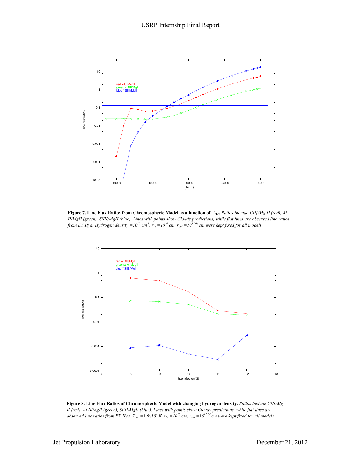

**Figure 7. Line Flux Ratios from Chromospheric Model as a function of Tchr.** *Ratios include CII]/Mg II (red), Al II/MgII (green), SiIII/MgII (blue). Lines with points show Cloudy predictions, while flat lines are observed line ratios from EY Hya. Hydrogen density =1010 cm-3 , rin =1010 cm, rout =1011.04 cm were kept fixed for all models.*



**Figure 8. Line Flux Ratios of Chromospheric Model with changing hydrogen density.** *Ratios include CII]/Mg II (red), Al II/MgII (green), SiIII/MgII (blue). Lines with points show Cloudy predictions, while flat lines are observed line ratios from EY Hya.*  $T_{chr} = 1.9x10^4 K$ ,  $r_{in} = 10^{10}$  cm,  $r_{out} = 10^{11.04}$  cm were kept fixed for all models.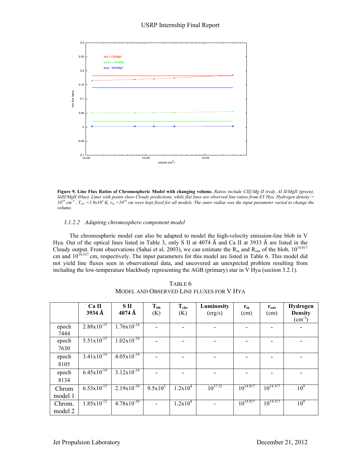

**Figure 9. Line Flux Ratios of Chromospheric Model with changing volume.** *Ratios include CII]/Mg II (red), Al II/MgII (green), SiIII/MgII (blue). Lines with points show Cloudy predictions, while flat lines are observed line ratios from EY Hya. Hydrogen density =*   $10^{10}$  cm<sup>-3</sup>,  $T_{chr} = 1.9x10^4$  K,  $r_{in} = 10^{10}$  cm were kept fixed for all models. The outer radius was the input parameter varied to change the *volume.*

## *3.1.2.2 Adapting chromosphere component model*

The chromospheric model can also be adapted to model the high-velocity emission-line blob in V Hya. Out of the optical lines listed in Table 3, only S II at 4074 Å and Ca II at 3933 Å are listed in the Cloudy output. From observations (Sahai et al. 2003), we can estimate the  $R_{in}$  and  $R_{out}$  of the blob,  $10^{14.017}$ cm and  $10^{14.317}$  cm, respectively. The input parameters for this model are listed in Table 6. This model did not yield line fluxes seen in observational data, and uncovered an unexpected problem resulting from including the low-temperature blackbody representing the AGB (primary) star in V Hya (section 3.2.1).

|                   | Ca <sub>II</sub><br>3934 Å | S II<br>$4074 \text{ Å}$   | $T_{bb}$<br>(K) | $T_{chr}$<br>(K) | Luminosity<br>(erg/s) | $r_{in}$<br>(cm) | $r_{\rm out}$<br>(cm) | Hydrogen<br><b>Density</b><br>$\text{(cm}^{-3})$ |
|-------------------|----------------------------|----------------------------|-----------------|------------------|-----------------------|------------------|-----------------------|--------------------------------------------------|
| epoch<br>7444     | $2.88 \times 10^{-15}$     | $1.76x\overline{10^{-14}}$ |                 |                  |                       |                  |                       |                                                  |
| epoch<br>7630     | $5.51x10^{-15}$            | $1.02 \times 10^{-14}$     |                 |                  |                       |                  |                       |                                                  |
| epoch<br>8105     | $3.41 \times 10^{-14}$     | $4.05x10^{-14}$            |                 |                  |                       |                  |                       |                                                  |
| epoch<br>8134     | $6.45 \times 10^{-14}$     | $3.12x\overline{10^{-14}}$ |                 |                  |                       |                  |                       |                                                  |
| Chrom<br>model 1  | $6.53 \times 10^{-13}$     | $2.19x10^{-10}$            | $9.5x10^3$      | $1.2x10^4$       | $10^{37.32}$          | $10^{14.017}$    | $10^{14.317}$         | 10 <sup>9</sup>                                  |
| Chrom.<br>model 2 | $1.85 \times 10^{-12}$     | $4.78 \mathrm{x} 10^{-10}$ |                 | $1.2x10^4$       |                       | $10^{14.017}$    | $10^{14.317}$         | 10 <sup>9</sup>                                  |

TABLE 6 MODEL AND OBSERVED LINE FLUXES FOR V HYA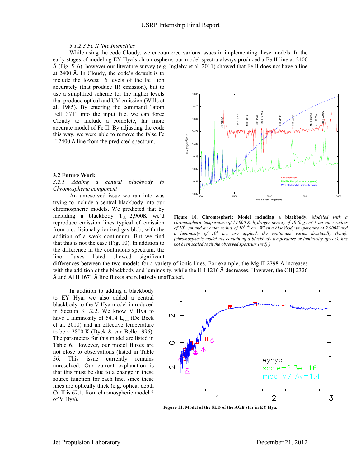#### USRP Internship Final Report

## *3.1.2.3 Fe II line Intensities*

While using the code Cloudy, we encountered various issues in implementing these models. In the early stages of modeling EY Hya's chromosphere, our model spectra always produced a Fe II line at 2400 Å (Fig. 5, 6), however our literature survey (e.g. Ingleby et al. 2011) showed that Fe II does not have a line

at 2400 Å. In Cloudy, the code's default is to include the lowest 16 levels of the Fe+ ion accurately (that produce IR emission), but to use a simplified scheme for the higher levels that produce optical and UV emission (Wills et al. 1985). By entering the command "atom FeII 371" into the input file, we can force Cloudy to include a complete, far more accurate model of Fe II. By adjusting the code this way, we were able to remove the false Fe II 2400 Å line from the predicted spectrum.

#### **3.2 Future Work**

*3.2.1 Adding a central blackbody to Chromospheric component*

An unresolved issue we ran into was trying to include a central blackbody into our chromospheric models. We predicted that by including a blackbody  $T_{bb} = 2,900K$  we'd reproduce emission lines typical of emission from a collisionally-ionized gas blob, with the addition of a weak continuum. But we find that this is not the case (Fig. 10). In addition to the difference in the continuous spectrum, the line fluxes listed showed significant



**Figure 10. Chromospheric Model including a blackbody.** *Modeled with a chromospheric temperature of 19,000 K, hydrogen density of 10 (log cm-3 ), an inner radius of 1011 cm and an outer radius of 1011.04 cm. When a blackbody temperature of 2,900K and a luminosity of 10<sup>4</sup> Lsun are applied, the continuum varies drastically (blue). (chromospheric model not containing a blackbody temperature or luminosity (green), has not been scaled to fit the observed spectrum (red).)*

differences between the two models for a variety of ionic lines. For example, the Mg II 2798 Å increases with the addition of the blackbody and luminosity, while the H I 1216  $\AA$  decreases. However, the CII] 2326 Å and Al II 1671 Å line fluxes are relatively unaffected.

In addition to adding a blackbody to EY Hya, we also added a central blackbody to the V Hya model introduced in Section 3.1.2.2. We know V Hya to have a luminosity of 5414 L<sub>sun</sub> (De Beck et al. 2010) and an effective temperature to be  $\sim$  2800 K (Dyck & van Belle 1996). The parameters for this model are listed in Table 6. However, our model fluxes are not close to observations (listed in Table 56. This issue currently remains unresolved. Our current explanation is that this must be due to a change in these source function for each line, since these lines are optically thick (e.g. optical depth Ca II is 67.1, from chromospheric model 2 of V Hya).



**Figure 11. Model of the SED of the AGB star in EY Hya.**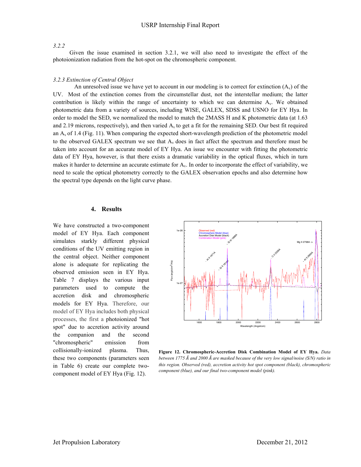### *3.2.2*

Given the issue examined in section 3.2.1, we will also need to investigate the effect of the photoionization radiation from the hot-spot on the chromospheric component.

#### *3.2.3 Extinction of Central Object*

An unresolved issue we have yet to account in our modeling is to correct for extinction  $(A<sub>v</sub>)$  of the UV. Most of the extinction comes from the circumstellar dust, not the interstellar medium; the latter contribution is likely within the range of uncertainty to which we can determine  $A<sub>v</sub>$ . We obtained photometric data from a variety of sources, including WISE, GALEX, SDSS and USNO for EY Hya. In order to model the SED, we normalized the model to match the 2MASS H and K photometric data (at 1.63 and 2.19 microns, respectively), and then varied  $A<sub>v</sub>$  to get a fit for the remaining SED. Our best fit required an  $A<sub>v</sub>$  of 1.4 (Fig. 11). When comparing the expected short-wavelength prediction of the photometric model to the observed GALEX spectrum we see that  $A<sub>v</sub>$  does in fact affect the spectrum and therefore must be taken into account for an accurate model of EY Hya. An issue we encounter with fitting the photometric data of EY Hya, however, is that there exists a dramatic variability in the optical fluxes, which in turn makes it harder to determine an accurate estimate for  $A<sub>v</sub>$ . In order to incorporate the effect of variability, we need to scale the optical photometry correctly to the GALEX observation epochs and also determine how the spectral type depends on the light curve phase.

#### **4. Results**

We have constructed a two-component model of EY Hya. Each component simulates starkly different physical conditions of the UV emitting region in the central object. Neither component alone is adequate for replicating the observed emission seen in EY Hya. Table 7 displays the various input parameters used to compute the accretion disk and chromospheric models for EY Hya. Therefore, our model of EY Hya includes both physical processes, the first a photoionized "hot spot" due to accretion activity around the companion and the second "chromospheric" emission from collisionally-ionized plasma. Thus, these two components (parameters seen in Table 6) create our complete twocomponent model of EY Hya (Fig. 12).



**Figure 12. Chromospheric-Accretion Disk Combination Model of EY Hya.** *Data between 1775 Å and 2000 Å are masked because of the very low signal/noise (S/N) ratio in this region. Observed (red), accretion activity hot spot component (black), chromospheric component (blue), and our final two-component model (pink).*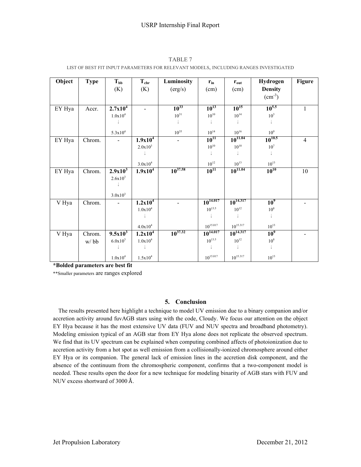| Object | <b>Type</b> | $T_{bb}$     | $T_{chr}$             | Luminosity   | $\mathbf{r}_{\text{in}}$ | $r_{\text{out}}$ | Hydrogen           | <b>Figure</b>  |
|--------|-------------|--------------|-----------------------|--------------|--------------------------|------------------|--------------------|----------------|
|        |             | (K)          | (K)                   | (erg/s)      | (cm)                     | (cm)             | <b>Density</b>     |                |
|        |             |              |                       |              |                          |                  | $\text{(cm}^{-3})$ |                |
|        |             |              |                       |              |                          |                  |                    |                |
| EY Hya | Accr.       | $2.7x10^4$   |                       | $10^{33}$    | $10^{13}$                | $10^{15}$        | $10^{5.5}$         | 1              |
|        |             | $1.0x10^4$   |                       | $10^{31}$    | $10^{10}$                | $10^{14}\,$      | 10 <sup>3</sup>    |                |
|        |             |              |                       |              |                          |                  |                    |                |
|        |             | $5.3x10^{4}$ |                       | $10^{35}$    | $10^{14}$                | $10^{16}$        | 10 <sup>9</sup>    |                |
| EY Hya | Chrom.      |              | 1.9x10 <sup>4</sup>   |              | $10^{11}$                | $10^{11.04}$     | $10^{10.5}$        | $\overline{4}$ |
|        |             |              | $2.0x10^3$            |              | $10^{10}\,$              | $10^{10}\,$      | 10 <sup>7</sup>    |                |
|        |             |              |                       |              |                          |                  |                    |                |
|        |             |              | $3.0x10^{4}$          |              | $10^{12}$                | $10^{13}$        | $10^{13}$          |                |
| EY Hya | Chrom.      | $2.9x10^3$   | $1.9x10^4$            | $10^{37.58}$ | $10^{11}$                | $10^{11.04}$     | $10^{10}$          | 10             |
|        |             | $2.6x10^{3}$ |                       |              |                          |                  |                    |                |
|        |             |              |                       |              |                          |                  |                    |                |
|        |             |              |                       |              |                          |                  |                    |                |
|        |             | $3.0x10^{3}$ |                       |              | $10^{14.017}$            | $10^{14.317}$    |                    |                |
| V Hya  | Chrom.      |              | $1.2x\overline{10^4}$ |              |                          |                  | 10 <sup>9</sup>    |                |
|        |             |              | $1.0x10^4$            |              | $10^{13.5}$              | $10^{12}$        | $10^8\,$           |                |
|        |             |              |                       |              |                          |                  |                    |                |
|        |             |              | $4.0 \mathrm{x} 10^4$ |              | $10^{15.017}$            | $10^{15.317}$    | $10^{13}$          |                |
| V Hya  | Chrom.      | $9.5x10^3$   | 1.2x10 <sup>4</sup>   | $10^{37.32}$ | $10^{14.017}$            | $10^{14.317}$    | 10 <sup>9</sup>    |                |
|        | w/bb        | $6.0x10^{3}$ | $1.0x10^4$            |              | $10^{13.5}$              | $10^{12}\,$      | $10^8\,$           |                |
|        |             |              |                       |              |                          |                  |                    |                |
|        |             | $1.0x10^4$   | $1.5x10^{4}$          |              | $10^{15.017}$            | $10^{15.317}\,$  | $10^{13}\,$        |                |

TABLE 7 LIST OF BEST FIT INPUT PARAMETERS FOR RELEVANT MODELS, INCLUDING RANGES INVESTIGATED

**\*Bolded parameters are best fit** 

\*\*Smaller parameters are ranges explored

## **5. Conclusion**

The results presented here highlight a technique to model UV emission due to a binary companion and/or accretion activity around fuvAGB stars using with the code, Cloudy. We focus our attention on the object EY Hya because it has the most extensive UV data (FUV and NUV spectra and broadband photometry). Modeling emission typical of an AGB star from EY Hya alone does not replicate the observed spectrum. We find that its UV spectrum can be explained when computing combined affects of photoionization due to accretion activity from a hot spot as well emission from a collisionally-ionized chromosphere around either EY Hya or its companion. The general lack of emission lines in the accretion disk component, and the absence of the continuum from the chromospheric component, confirms that a two-component model is needed. These results open the door for a new technique for modeling binarity of AGB stars with FUV and NUV excess shortward of 3000 Å.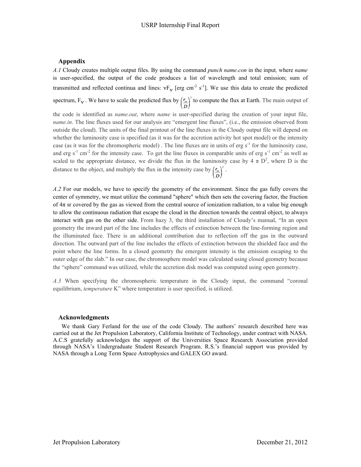# **Appendix**

*A.1* Cloudy creates multiple output files. By using the command *punch name.con* in the input*,* where *name* is user-specified, the output of the code produces a list of wavelength and total emission; sum of transmitted and reflected continua and lines:  $vF_v$  [erg cm<sup>-2</sup> s<sup>-1</sup>]. We use this data to create the predicted

spectrum,  $F_v$ . We have to scale the predicted flux by  $\left(\frac{r_n}{D}\right)^2$  to compute the flux at Earth. The main output of

the code is identified as *name.out*, where *name* is user-specified during the creation of your input file, *name.in*. The line fluxes used for our analysis are "emergent line fluxes", (i.e., the emission observed from outside the cloud). The units of the final printout of the line fluxes in the Cloudy output file will depend on whether the luminosity case is specified (as it was for the accretion activity hot spot model) or the intensity case (as it was for the chromospheric model). The line fluxes are in units of erg  $s^{-1}$  for the luminosity case, and erg  $s^{-1}$  cm<sup>-2</sup> for the intensity case. To get the line fluxes in comparable units of erg  $s^{-1}$  cm<sup>-2</sup> as well as scaled to the appropriate distance, we divide the flux in the luminosity case by  $4 \pi D^2$ , where D is the distance to the object, and multiply the flux in the intensity case by  $\left(\frac{r_n}{D}\right)^2$ .

*A.2* For our models, we have to specify the geometry of the environment. Since the gas fully covers the center of symmetry, we must utilize the command "sphere" which then sets the covering factor, the fraction of 4π sr covered by the gas as viewed from the central source of ionization radiation, to a value big enough to allow the continuous radiation that escape the cloud in the direction towards the central object, to always interact with gas on the other side. From hazy 3, the third installation of Cloudy's manual, "In an open geometry the inward part of the line includes the effects of extinction between the line-forming region and the illuminated face. There is an additional contribution due to reflection off the gas in the outward direction. The outward part of the line includes the effects of extinction between the shielded face and the point where the line forms. In a closed geometry the emergent intensity is the emission escaping to the outer edge of the slab." In our case, the chromosphere model was calculated using closed geometry because the "sphere" command was utilized, while the accretion disk model was computed using open geometry.

*A.3* When specifying the chromospheric temperature in the Cloudy input, the command "coronal equilibrium, *temperature* K" where temperature is user specified, is utilized.

## **Acknowledgments**

We thank Gary Ferland for the use of the code Cloudy. The authors' research described here was carried out at the Jet Propulsion Laboratory, California Institute of Technology, under contract with NASA. A.C.S gratefully acknowledges the support of the Universities Space Research Association provided through NASA's Undergraduate Student Research Program. R.S.'s financial support was provided by NASA through a Long Term Space Astrophysics and GALEX GO award.